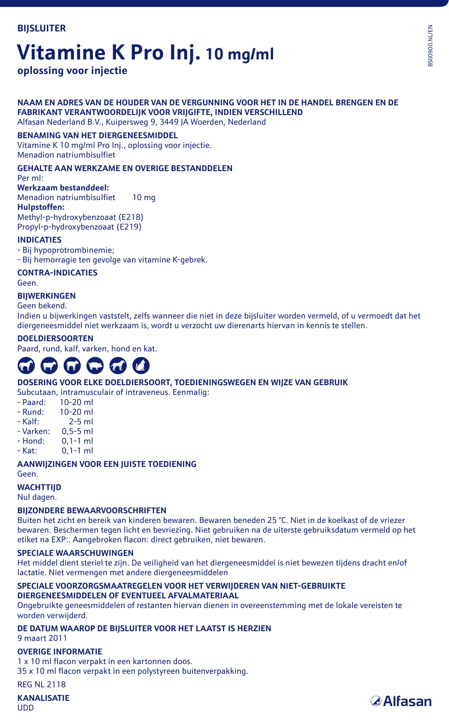# **Vitamine K Pro Inj. 10 mg/ml**

**oplossing voor injectie**

# **NAAM EN ADRES VAN DE HOUDER VAN DE VERGUNNING VOOR HET IN DE HANDEL BRENGEN EN DE FABRIKANT VERANTWOORDELIJK VOOR VRIJGIFTE, INDIEN VERSCHILLEND**

Alfasan Nederland B.V., Kuipersweg 9, 3449 JA Woerden, Nederland

# **BENAMING VAN HET DIERGENEESMIDDEL**

Vitamine K 10 mg/ml Pro Inj., oplossing voor injectie. Menadion natriumbisulfiet

# **GEHALTE AAN WERKZAME EN OVERIGE BESTANDDELEN**

Per ml:

## **Werkzaam bestanddeel:**

Menadion natriumbisulfiet 10 mg **Hulpstoffen:** Methyl-p-hydroxybenzoaat (E218) Propyl-p-hydroxybenzoaat (E219)

## **INDICATIES**

- Bij hypoprotrombinemie;

- Bij hemorragie ten gevolge van vitamine K-gebrek.

**CONTRA-INDICATIES**

Geen.

**BIJWERKINGEN**

Geen bekend.

Indien u bijwerkingen vaststelt, zelfs wanneer die niet in deze bijsluiter worden vermeld, of u vermoedt dat het diergeneesmiddel niet werkzaam is, wordt u verzocht uw dierenarts hiervan in kennis te stellen.

### **DOELDIERSOORTEN**

Paard, rund, kalf, varken, hond en kat.

# **COMPAN**

### **DOSERING VOOR ELKE DOELDIERSOORT, TOEDIENINGSWEGEN EN WIJZE VAN GEBRUIK**

Subcutaan, intramusculair of intraveneus. Eenmalig:

- Paard: 10-20 ml<br>- Rund: 10-20 ml
- Rund: 10-20 ml<br>- Kalf: 2-5 ml
- $2-5$  ml
- Varken: 0,5-5 ml
- Hond: 0,1-1 ml
- Kat: 0,1-1 ml

#### **AANWIJZINGEN VOOR EEN JUISTE TOEDIENING** Geen.

# **WACHTTIJD**

Nul dagen.

# **BIJZONDERE BEWAARVOORSCHRIFTEN**

Buiten het zicht en bereik van kinderen bewaren. Bewaren beneden 25 °C. Niet in de koelkast of de vriezer bewaren. Beschermen tegen licht en bevriezing. Niet gebruiken na de uiterste gebruiksdatum vermeld op het etiket na EXP:. Aangebroken flacon: direct gebruiken, niet bewaren.

## **SPECIALE WAARSCHUWINGEN**

Het middel dient steriel te zijn. De veiligheid van het diergeneesmiddel is niet bewezen tijdens dracht en/of lactatie. Niet vermengen met andere diergeneesmiddelen

### **SPECIALE VOORZORGSMAATREGELEN VOOR HET VERWIJDEREN VAN NIET-GEBRUIKTE DIERGENEESMIDDELEN OF EVENTUEEL AFVALMATERIAAL**

Ongebruikte geneesmiddelen of restanten hiervan dienen in overeenstemming met de lokale vereisten te worden verwijderd.

# **DE DATUM WAAROP DE BIJSLUITER VOOR HET LAATST IS HERZIEN**

9 maart 2011

## **OVERIGE INFORMATIE**

1 x 10 ml flacon verpakt in een kartonnen doos. 35 x 10 ml flacon verpakt in een polystyreen buitenverpakking.

**REG NL 2118** 

**KANALISATIE**  UDD